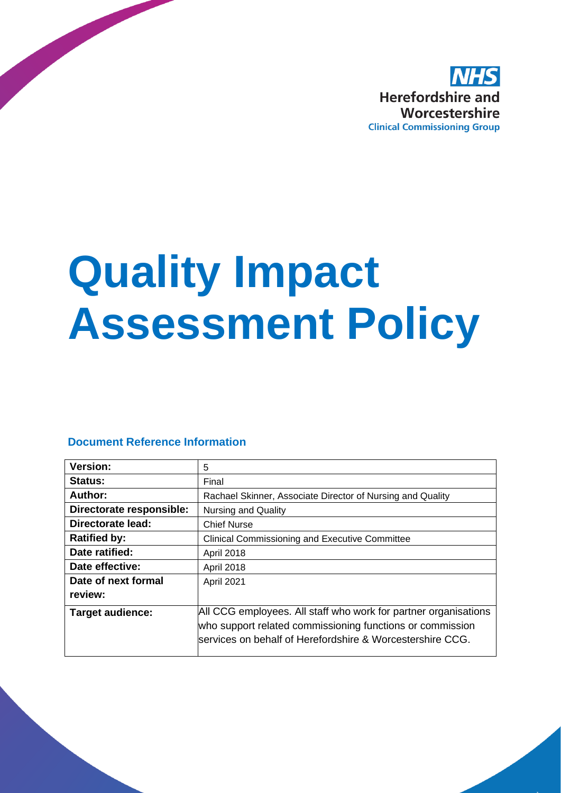

# **Quality Impact Assessment Policy**

#### **Document Reference Information**

| <b>Version:</b>          | 5                                                                                                                                                                                         |
|--------------------------|-------------------------------------------------------------------------------------------------------------------------------------------------------------------------------------------|
| Status:                  | Final                                                                                                                                                                                     |
| Author:                  | Rachael Skinner, Associate Director of Nursing and Quality                                                                                                                                |
| Directorate responsible: | <b>Nursing and Quality</b>                                                                                                                                                                |
| <b>Directorate lead:</b> | <b>Chief Nurse</b>                                                                                                                                                                        |
| <b>Ratified by:</b>      | <b>Clinical Commissioning and Executive Committee</b>                                                                                                                                     |
| Date ratified:           | <b>April 2018</b>                                                                                                                                                                         |
| Date effective:          | April 2018                                                                                                                                                                                |
| Date of next formal      | April 2021                                                                                                                                                                                |
| review:                  |                                                                                                                                                                                           |
| <b>Target audience:</b>  | All CCG employees. All staff who work for partner organisations<br>who support related commissioning functions or commission<br>services on behalf of Herefordshire & Worcestershire CCG. |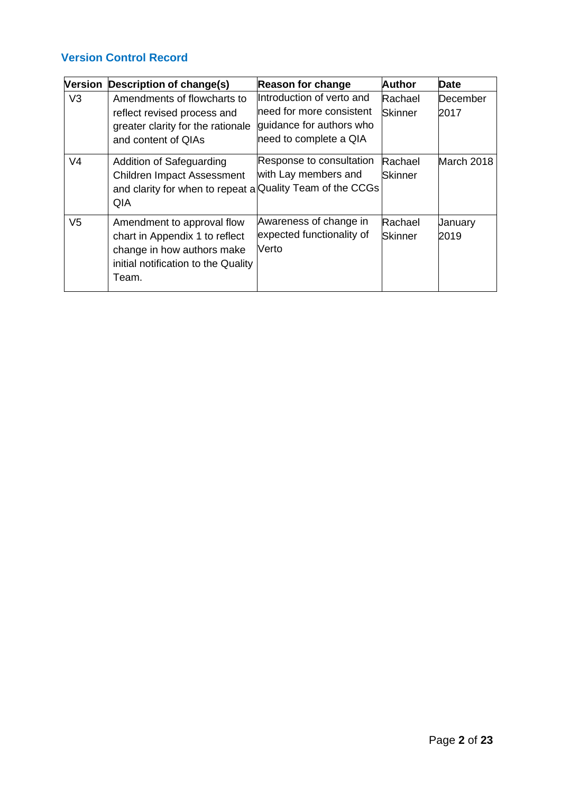#### **Version Control Record**

| <b>Version</b> | Description of change(s)                                                                                                                   | <b>Reason for change</b>                                                                                    | <b>Author</b>             | <b>Date</b>       |
|----------------|--------------------------------------------------------------------------------------------------------------------------------------------|-------------------------------------------------------------------------------------------------------------|---------------------------|-------------------|
| V <sub>3</sub> | Amendments of flowcharts to<br>reflect revised process and<br>greater clarity for the rationale<br>and content of QIAs                     | Introduction of verto and<br>need for more consistent<br>guidance for authors who<br>need to complete a QIA | Rachael<br><b>Skinner</b> | lDecember<br>2017 |
| V <sub>4</sub> | Addition of Safeguarding<br><b>Children Impact Assessment</b><br>and clarity for when to repeat a Quality Team of the CCGs<br>QIA          | Response to consultation<br>with Lay members and                                                            | Rachael<br><b>Skinner</b> | March 2018        |
| V <sub>5</sub> | Amendment to approval flow<br>chart in Appendix 1 to reflect<br>change in how authors make<br>initial notification to the Quality<br>Team. | Awareness of change in<br>expected functionality of<br>Verto                                                | Rachael<br><b>Skinner</b> | January<br>2019   |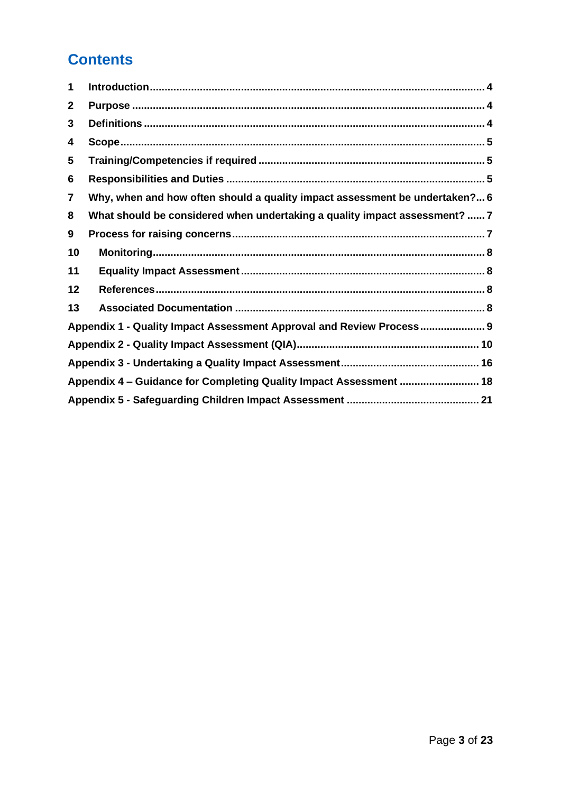# **Contents**

| 1              |                                                                             |
|----------------|-----------------------------------------------------------------------------|
| $\mathbf{2}$   |                                                                             |
| 3              |                                                                             |
| 4              |                                                                             |
| 5              |                                                                             |
| 6              |                                                                             |
| $\overline{7}$ | Why, when and how often should a quality impact assessment be undertaken? 6 |
| 8              | What should be considered when undertaking a quality impact assessment?  7  |
| 9              |                                                                             |
| 10             |                                                                             |
| 11             |                                                                             |
| 12             |                                                                             |
| 13             |                                                                             |
|                | Appendix 1 - Quality Impact Assessment Approval and Review Process 9        |
|                |                                                                             |
|                |                                                                             |
|                | Appendix 4 - Guidance for Completing Quality Impact Assessment  18          |
|                |                                                                             |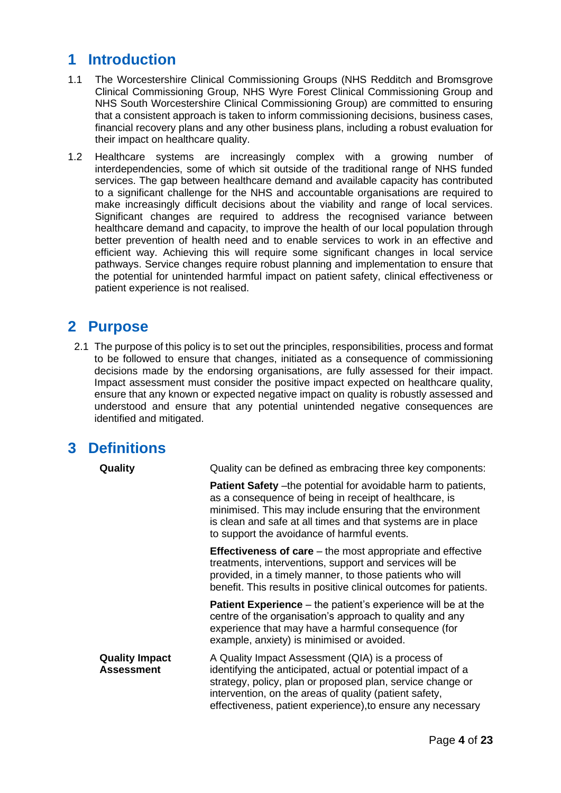## <span id="page-3-0"></span>**1 Introduction**

- 1.1 The Worcestershire Clinical Commissioning Groups (NHS Redditch and Bromsgrove Clinical Commissioning Group, NHS Wyre Forest Clinical Commissioning Group and NHS South Worcestershire Clinical Commissioning Group) are committed to ensuring that a consistent approach is taken to inform commissioning decisions, business cases, financial recovery plans and any other business plans, including a robust evaluation for their impact on healthcare quality.
- 1.2 Healthcare systems are increasingly complex with a growing number of interdependencies, some of which sit outside of the traditional range of NHS funded services. The gap between healthcare demand and available capacity has contributed to a significant challenge for the NHS and accountable organisations are required to make increasingly difficult decisions about the viability and range of local services. Significant changes are required to address the recognised variance between healthcare demand and capacity, to improve the health of our local population through better prevention of health need and to enable services to work in an effective and efficient way. Achieving this will require some significant changes in local service pathways. Service changes require robust planning and implementation to ensure that the potential for unintended harmful impact on patient safety, clinical effectiveness or patient experience is not realised.

#### <span id="page-3-1"></span>**2 Purpose**

2.1 The purpose of this policy is to set out the principles, responsibilities, process and format to be followed to ensure that changes, initiated as a consequence of commissioning decisions made by the endorsing organisations, are fully assessed for their impact. Impact assessment must consider the positive impact expected on healthcare quality, ensure that any known or expected negative impact on quality is robustly assessed and understood and ensure that any potential unintended negative consequences are identified and mitigated.

#### <span id="page-3-2"></span>**3 Definitions**

| Quality                                    | Quality can be defined as embracing three key components:                                                                                                                                                                                                                                                   |
|--------------------------------------------|-------------------------------------------------------------------------------------------------------------------------------------------------------------------------------------------------------------------------------------------------------------------------------------------------------------|
|                                            | <b>Patient Safety</b> – the potential for avoidable harm to patients,<br>as a consequence of being in receipt of healthcare, is<br>minimised. This may include ensuring that the environment<br>is clean and safe at all times and that systems are in place<br>to support the avoidance of harmful events. |
|                                            | <b>Effectiveness of care</b> $-$ the most appropriate and effective<br>treatments, interventions, support and services will be<br>provided, in a timely manner, to those patients who will<br>benefit. This results in positive clinical outcomes for patients.                                             |
|                                            | <b>Patient Experience</b> – the patient's experience will be at the<br>centre of the organisation's approach to quality and any<br>experience that may have a harmful consequence (for<br>example, anxiety) is minimised or avoided.                                                                        |
| <b>Quality Impact</b><br><b>Assessment</b> | A Quality Impact Assessment (QIA) is a process of<br>identifying the anticipated, actual or potential impact of a<br>strategy, policy, plan or proposed plan, service change or<br>intervention, on the areas of quality (patient safety,<br>effectiveness, patient experience), to ensure any necessary    |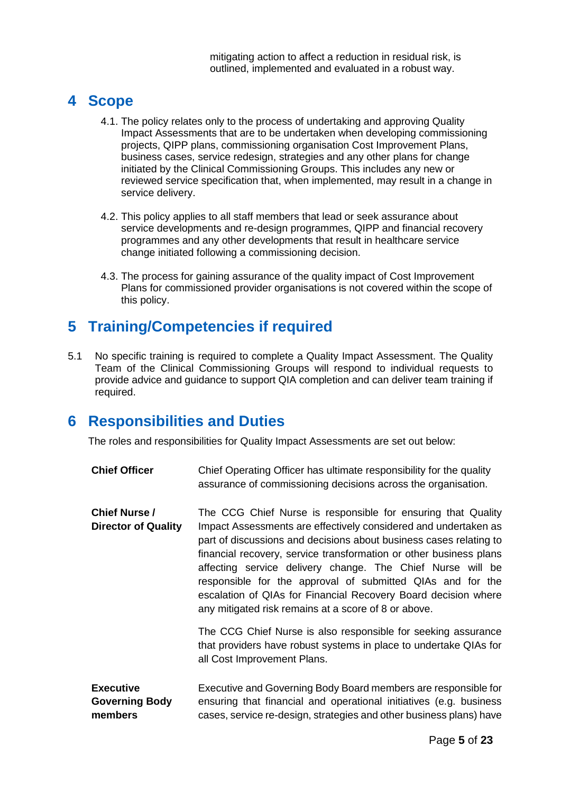## <span id="page-4-0"></span>**4 Scope**

- 4.1. The policy relates only to the process of undertaking and approving Quality Impact Assessments that are to be undertaken when developing commissioning projects, QIPP plans, commissioning organisation Cost Improvement Plans, business cases, service redesign, strategies and any other plans for change initiated by the Clinical Commissioning Groups. This includes any new or reviewed service specification that, when implemented, may result in a change in service delivery.
- 4.2. This policy applies to all staff members that lead or seek assurance about service developments and re-design programmes, QIPP and financial recovery programmes and any other developments that result in healthcare service change initiated following a commissioning decision.
- 4.3. The process for gaining assurance of the quality impact of Cost Improvement Plans for commissioned provider organisations is not covered within the scope of this policy.

# <span id="page-4-1"></span>**5 Training/Competencies if required**

5.1 No specific training is required to complete a Quality Impact Assessment. The Quality Team of the Clinical Commissioning Groups will respond to individual requests to provide advice and guidance to support QIA completion and can deliver team training if required.

#### <span id="page-4-2"></span>**6 Responsibilities and Duties**

The roles and responsibilities for Quality Impact Assessments are set out below:

**Chief Officer** Chief Operating Officer has ultimate responsibility for the quality assurance of commissioning decisions across the organisation.

**Chief Nurse / Director of Quality**  The CCG Chief Nurse is responsible for ensuring that Quality Impact Assessments are effectively considered and undertaken as part of discussions and decisions about business cases relating to financial recovery, service transformation or other business plans affecting service delivery change. The Chief Nurse will be responsible for the approval of submitted QIAs and for the escalation of QIAs for Financial Recovery Board decision where any mitigated risk remains at a score of 8 or above.

> The CCG Chief Nurse is also responsible for seeking assurance that providers have robust systems in place to undertake QIAs for all Cost Improvement Plans.

**Executive Governing Body members** Executive and Governing Body Board members are responsible for ensuring that financial and operational initiatives (e.g. business cases, service re-design, strategies and other business plans) have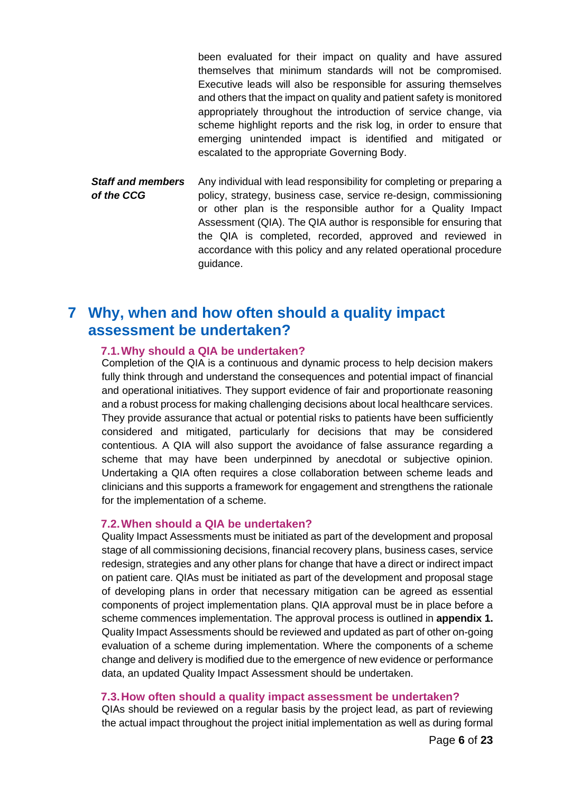been evaluated for their impact on quality and have assured themselves that minimum standards will not be compromised. Executive leads will also be responsible for assuring themselves and others that the impact on quality and patient safety is monitored appropriately throughout the introduction of service change, via scheme highlight reports and the risk log, in order to ensure that emerging unintended impact is identified and mitigated or escalated to the appropriate Governing Body. *Staff and members*  Any individual with lead responsibility for completing or preparing a

*of the CCG* policy, strategy, business case, service re-design, commissioning or other plan is the responsible author for a Quality Impact Assessment (QIA). The QIA author is responsible for ensuring that the QIA is completed, recorded, approved and reviewed in accordance with this policy and any related operational procedure guidance.

## <span id="page-5-0"></span>**7 Why, when and how often should a quality impact assessment be undertaken?**

#### **7.1.Why should a QIA be undertaken?**

Completion of the QIA is a continuous and dynamic process to help decision makers fully think through and understand the consequences and potential impact of financial and operational initiatives. They support evidence of fair and proportionate reasoning and a robust process for making challenging decisions about local healthcare services. They provide assurance that actual or potential risks to patients have been sufficiently considered and mitigated, particularly for decisions that may be considered contentious. A QIA will also support the avoidance of false assurance regarding a scheme that may have been underpinned by anecdotal or subjective opinion. Undertaking a QIA often requires a close collaboration between scheme leads and clinicians and this supports a framework for engagement and strengthens the rationale for the implementation of a scheme.

#### **7.2.When should a QIA be undertaken?**

Quality Impact Assessments must be initiated as part of the development and proposal stage of all commissioning decisions, financial recovery plans, business cases, service redesign, strategies and any other plans for change that have a direct or indirect impact on patient care. QIAs must be initiated as part of the development and proposal stage of developing plans in order that necessary mitigation can be agreed as essential components of project implementation plans. QIA approval must be in place before a scheme commences implementation. The approval process is outlined in **appendix 1.**  Quality Impact Assessments should be reviewed and updated as part of other on-going evaluation of a scheme during implementation. Where the components of a scheme change and delivery is modified due to the emergence of new evidence or performance data, an updated Quality Impact Assessment should be undertaken.

#### **7.3.How often should a quality impact assessment be undertaken?**

QIAs should be reviewed on a regular basis by the project lead, as part of reviewing the actual impact throughout the project initial implementation as well as during formal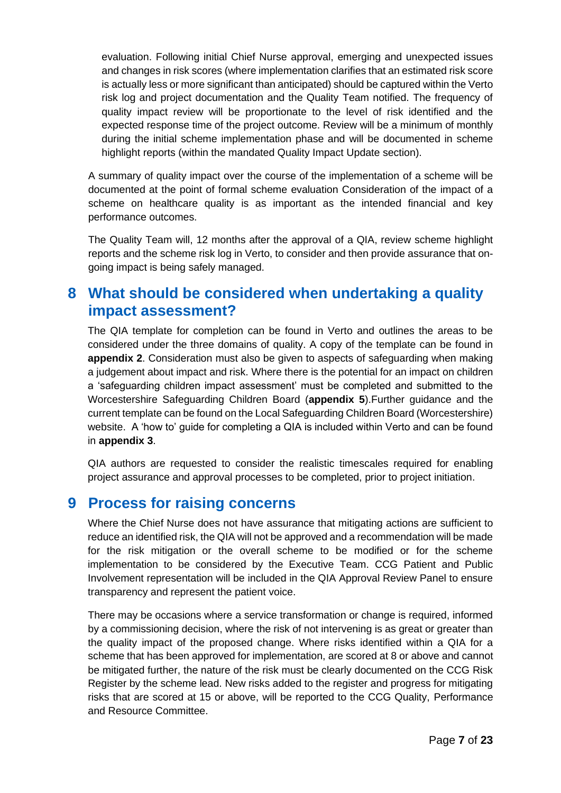evaluation. Following initial Chief Nurse approval, emerging and unexpected issues and changes in risk scores (where implementation clarifies that an estimated risk score is actually less or more significant than anticipated) should be captured within the Verto risk log and project documentation and the Quality Team notified. The frequency of quality impact review will be proportionate to the level of risk identified and the expected response time of the project outcome. Review will be a minimum of monthly during the initial scheme implementation phase and will be documented in scheme highlight reports (within the mandated Quality Impact Update section).

A summary of quality impact over the course of the implementation of a scheme will be documented at the point of formal scheme evaluation Consideration of the impact of a scheme on healthcare quality is as important as the intended financial and key performance outcomes.

The Quality Team will, 12 months after the approval of a QIA, review scheme highlight reports and the scheme risk log in Verto, to consider and then provide assurance that ongoing impact is being safely managed.

#### <span id="page-6-0"></span>**8 What should be considered when undertaking a quality impact assessment?**

The QIA template for completion can be found in Verto and outlines the areas to be considered under the three domains of quality. A copy of the template can be found in **appendix 2**. Consideration must also be given to aspects of safeguarding when making a judgement about impact and risk. Where there is the potential for an impact on children a 'safeguarding children impact assessment' must be completed and submitted to the Worcestershire Safeguarding Children Board (**appendix 5**).Further guidance and the current template can be found on the Local Safeguarding Children Board (Worcestershire) website. A 'how to' guide for completing a QIA is included within Verto and can be found in **appendix 3**.

QIA authors are requested to consider the realistic timescales required for enabling project assurance and approval processes to be completed, prior to project initiation.

#### <span id="page-6-1"></span>**9 Process for raising concerns**

Where the Chief Nurse does not have assurance that mitigating actions are sufficient to reduce an identified risk, the QIA will not be approved and a recommendation will be made for the risk mitigation or the overall scheme to be modified or for the scheme implementation to be considered by the Executive Team. CCG Patient and Public Involvement representation will be included in the QIA Approval Review Panel to ensure transparency and represent the patient voice.

There may be occasions where a service transformation or change is required, informed by a commissioning decision, where the risk of not intervening is as great or greater than the quality impact of the proposed change. Where risks identified within a QIA for a scheme that has been approved for implementation, are scored at 8 or above and cannot be mitigated further, the nature of the risk must be clearly documented on the CCG Risk Register by the scheme lead. New risks added to the register and progress for mitigating risks that are scored at 15 or above, will be reported to the CCG Quality, Performance and Resource Committee.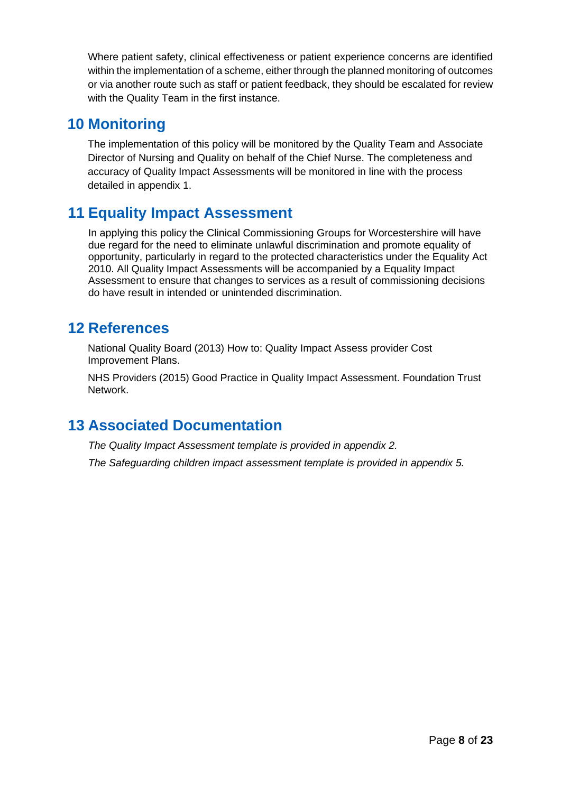Where patient safety, clinical effectiveness or patient experience concerns are identified within the implementation of a scheme, either through the planned monitoring of outcomes or via another route such as staff or patient feedback, they should be escalated for review with the Quality Team in the first instance.

#### <span id="page-7-0"></span>**10 Monitoring**

The implementation of this policy will be monitored by the Quality Team and Associate Director of Nursing and Quality on behalf of the Chief Nurse. The completeness and accuracy of Quality Impact Assessments will be monitored in line with the process detailed in appendix 1.

## <span id="page-7-1"></span>**11 Equality Impact Assessment**

In applying this policy the Clinical Commissioning Groups for Worcestershire will have due regard for the need to eliminate unlawful discrimination and promote equality of opportunity, particularly in regard to the protected characteristics under the Equality Act 2010. All Quality Impact Assessments will be accompanied by a Equality Impact Assessment to ensure that changes to services as a result of commissioning decisions do have result in intended or unintended discrimination.

## <span id="page-7-2"></span>**12 References**

National Quality Board (2013) How to: Quality Impact Assess provider Cost Improvement Plans.

NHS Providers (2015) Good Practice in Quality Impact Assessment. Foundation Trust Network.

## <span id="page-7-3"></span>**13 Associated Documentation**

*The Quality Impact Assessment template is provided in appendix 2.*

*The Safeguarding children impact assessment template is provided in appendix 5.*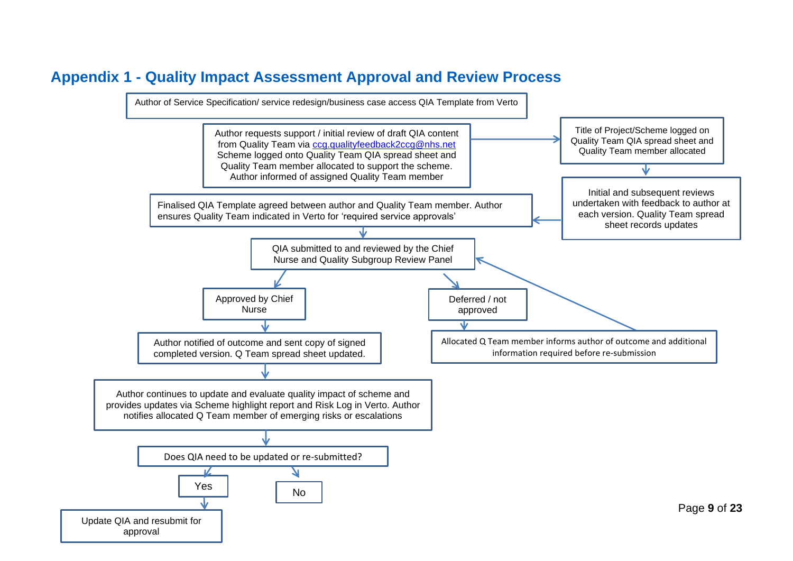## **Appendix 1 - Quality Impact Assessment Approval and Review Process**

<span id="page-8-0"></span>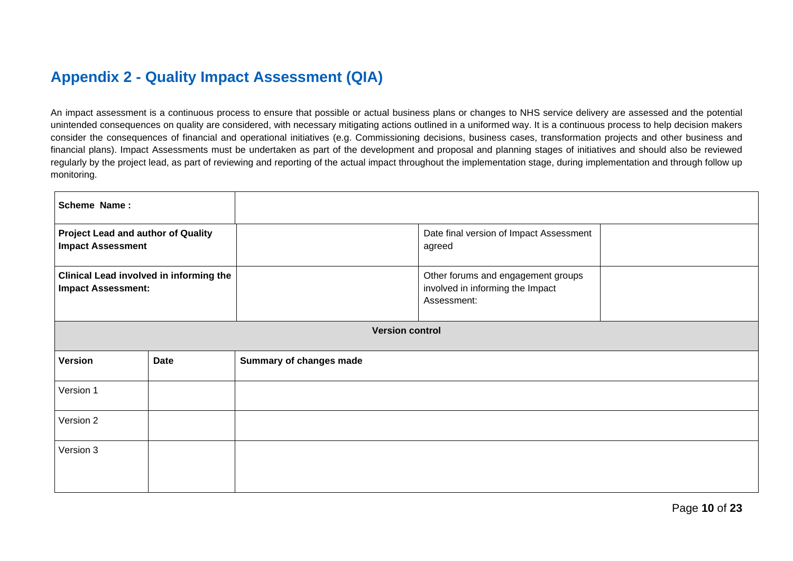# **Appendix 2 - Quality Impact Assessment (QIA)**

An impact assessment is a continuous process to ensure that possible or actual business plans or changes to NHS service delivery are assessed and the potential unintended consequences on quality are considered, with necessary mitigating actions outlined in a uniformed way. It is a continuous process to help decision makers consider the consequences of financial and operational initiatives (e.g. Commissioning decisions, business cases, transformation projects and other business and financial plans). Impact Assessments must be undertaken as part of the development and proposal and planning stages of initiatives and should also be reviewed regularly by the project lead, as part of reviewing and reporting of the actual impact throughout the implementation stage, during implementation and through follow up monitoring.

<span id="page-9-0"></span>

| Scheme Name:                                                                |             |                                                                                       |
|-----------------------------------------------------------------------------|-------------|---------------------------------------------------------------------------------------|
| <b>Project Lead and author of Quality</b><br><b>Impact Assessment</b>       |             | Date final version of Impact Assessment<br>agreed                                     |
| <b>Clinical Lead involved in informing the</b><br><b>Impact Assessment:</b> |             | Other forums and engagement groups<br>involved in informing the Impact<br>Assessment: |
|                                                                             |             | <b>Version control</b>                                                                |
| <b>Version</b>                                                              | <b>Date</b> | <b>Summary of changes made</b>                                                        |
| Version 1                                                                   |             |                                                                                       |
| Version 2                                                                   |             |                                                                                       |
| Version 3                                                                   |             |                                                                                       |
|                                                                             |             |                                                                                       |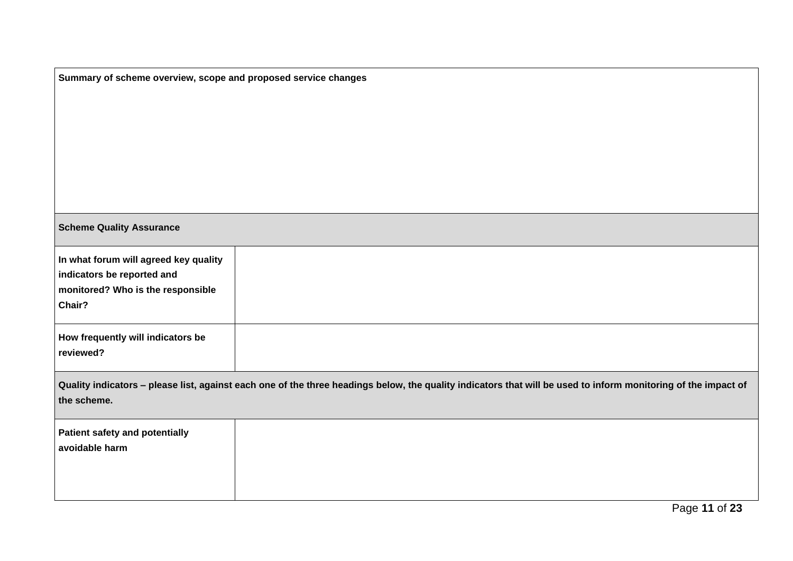| Summary of scheme overview, scope and proposed service changes |                                                                                                                                                                |  |  |  |  |  |
|----------------------------------------------------------------|----------------------------------------------------------------------------------------------------------------------------------------------------------------|--|--|--|--|--|
|                                                                |                                                                                                                                                                |  |  |  |  |  |
|                                                                |                                                                                                                                                                |  |  |  |  |  |
|                                                                |                                                                                                                                                                |  |  |  |  |  |
|                                                                |                                                                                                                                                                |  |  |  |  |  |
|                                                                |                                                                                                                                                                |  |  |  |  |  |
|                                                                |                                                                                                                                                                |  |  |  |  |  |
|                                                                |                                                                                                                                                                |  |  |  |  |  |
| <b>Scheme Quality Assurance</b>                                |                                                                                                                                                                |  |  |  |  |  |
| In what forum will agreed key quality                          |                                                                                                                                                                |  |  |  |  |  |
| indicators be reported and                                     |                                                                                                                                                                |  |  |  |  |  |
| monitored? Who is the responsible<br>Chair?                    |                                                                                                                                                                |  |  |  |  |  |
|                                                                |                                                                                                                                                                |  |  |  |  |  |
| How frequently will indicators be                              |                                                                                                                                                                |  |  |  |  |  |
| reviewed?                                                      |                                                                                                                                                                |  |  |  |  |  |
|                                                                |                                                                                                                                                                |  |  |  |  |  |
| the scheme.                                                    | Quality indicators - please list, against each one of the three headings below, the quality indicators that will be used to inform monitoring of the impact of |  |  |  |  |  |
|                                                                |                                                                                                                                                                |  |  |  |  |  |
| <b>Patient safety and potentially</b>                          |                                                                                                                                                                |  |  |  |  |  |
| avoidable harm                                                 |                                                                                                                                                                |  |  |  |  |  |
|                                                                |                                                                                                                                                                |  |  |  |  |  |
|                                                                |                                                                                                                                                                |  |  |  |  |  |
|                                                                |                                                                                                                                                                |  |  |  |  |  |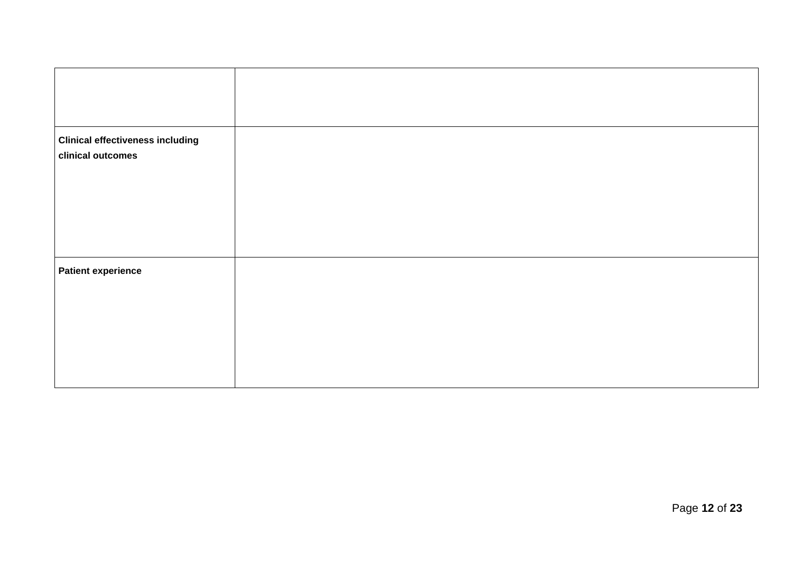| <b>Clinical effectiveness including</b><br>clinical outcomes |  |
|--------------------------------------------------------------|--|
|                                                              |  |
| <b>Patient experience</b>                                    |  |
|                                                              |  |
|                                                              |  |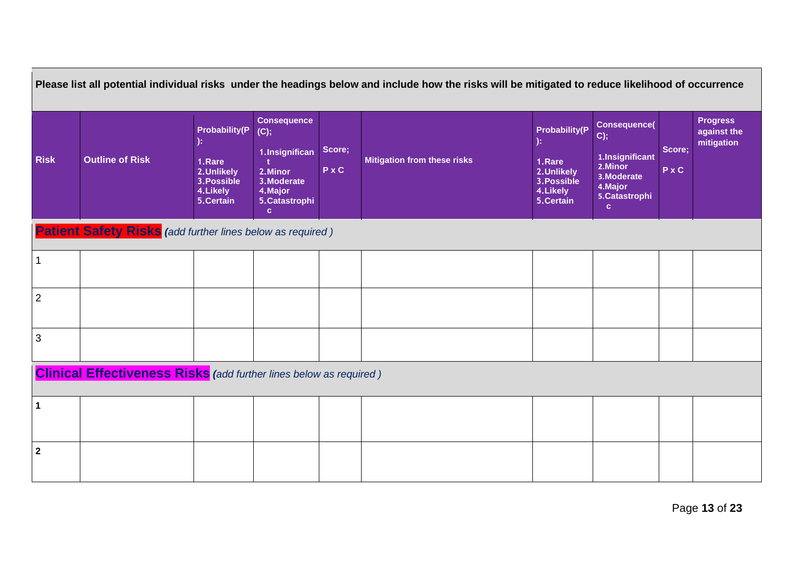| Please list all potential individual risks under the headings below and include how the risks will be mitigated to reduce likelihood of occurrence |                                                                           |                                                                                       |                                                                                                                       |                 |                                    |                                                                                              |                                                                                                              |               |                                              |
|----------------------------------------------------------------------------------------------------------------------------------------------------|---------------------------------------------------------------------------|---------------------------------------------------------------------------------------|-----------------------------------------------------------------------------------------------------------------------|-----------------|------------------------------------|----------------------------------------------------------------------------------------------|--------------------------------------------------------------------------------------------------------------|---------------|----------------------------------------------|
| <b>Risk</b>                                                                                                                                        | <b>Outline of Risk</b>                                                    | <b>Probability(P</b><br>1.Rare<br>2.Unlikely<br>3. Possible<br>4.Likely<br>5. Certain | <b>Consequence</b><br>(C);<br>1.Insignifican<br>2. Minor<br>3. Moderate<br>4. Major<br>5. Catastrophi<br>$\mathbf{c}$ | Score;<br>P x C | <b>Mitigation from these risks</b> | <b>Probability(P</b><br>):<br>1.Rare<br>2.Unlikely<br>3. Possible<br>4. Likely<br>5. Certain | <b>Consequence(</b><br>C);<br>1.Insignificant<br>2. Minor<br>3. Moderate<br>4. Major<br>5. Catastrophi<br>c. | Score;<br>PxC | <b>Progress</b><br>against the<br>mitigation |
| <b>Patient Safety Risks</b> (add further lines below as required)                                                                                  |                                                                           |                                                                                       |                                                                                                                       |                 |                                    |                                                                                              |                                                                                                              |               |                                              |
| 1                                                                                                                                                  |                                                                           |                                                                                       |                                                                                                                       |                 |                                    |                                                                                              |                                                                                                              |               |                                              |
| $\overline{2}$                                                                                                                                     |                                                                           |                                                                                       |                                                                                                                       |                 |                                    |                                                                                              |                                                                                                              |               |                                              |
| $\mathbf{3}$                                                                                                                                       |                                                                           |                                                                                       |                                                                                                                       |                 |                                    |                                                                                              |                                                                                                              |               |                                              |
|                                                                                                                                                    | <b>Clinical Effectiveness Risks</b> (add further lines below as required) |                                                                                       |                                                                                                                       |                 |                                    |                                                                                              |                                                                                                              |               |                                              |
| $\mathbf{1}$                                                                                                                                       |                                                                           |                                                                                       |                                                                                                                       |                 |                                    |                                                                                              |                                                                                                              |               |                                              |
| $\overline{2}$                                                                                                                                     |                                                                           |                                                                                       |                                                                                                                       |                 |                                    |                                                                                              |                                                                                                              |               |                                              |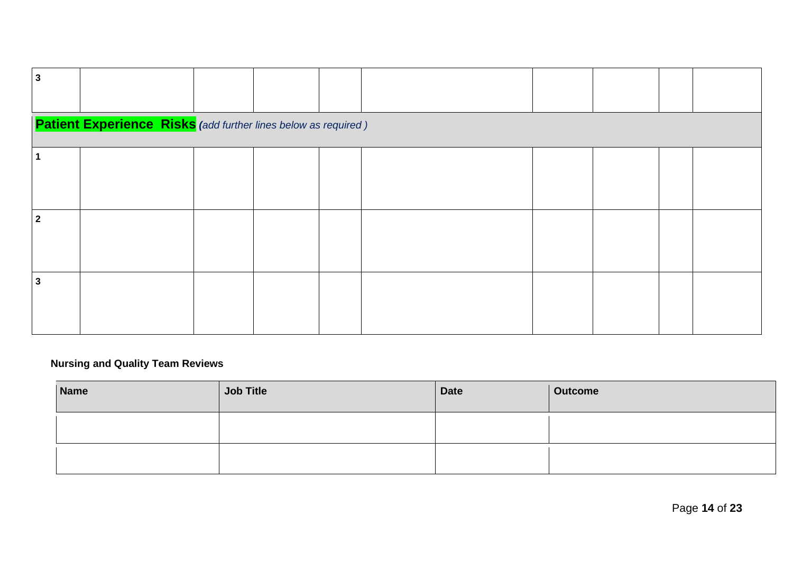| 3          |                                                                        |  |  |  |  |
|------------|------------------------------------------------------------------------|--|--|--|--|
|            |                                                                        |  |  |  |  |
|            | <b>Patient Experience Risks</b> (add further lines below as required ) |  |  |  |  |
|            |                                                                        |  |  |  |  |
|            |                                                                        |  |  |  |  |
|            |                                                                        |  |  |  |  |
|            |                                                                        |  |  |  |  |
|            |                                                                        |  |  |  |  |
| $\sqrt{2}$ |                                                                        |  |  |  |  |
|            |                                                                        |  |  |  |  |
|            |                                                                        |  |  |  |  |
|            |                                                                        |  |  |  |  |
| 3          |                                                                        |  |  |  |  |
|            |                                                                        |  |  |  |  |
|            |                                                                        |  |  |  |  |
|            |                                                                        |  |  |  |  |

#### **Nursing and Quality Team Reviews**

| <b>Name</b> | <b>Job Title</b> | <b>Date</b> | <b>Outcome</b> |
|-------------|------------------|-------------|----------------|
|             |                  |             |                |
|             |                  |             |                |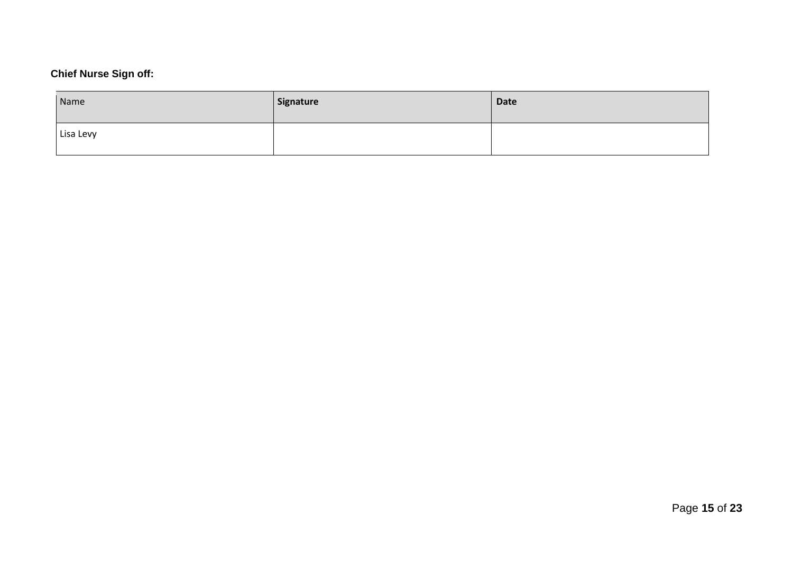## **Chief Nurse Sign off:**

| Name      | Signature | <b>Date</b> |
|-----------|-----------|-------------|
| Lisa Levy |           |             |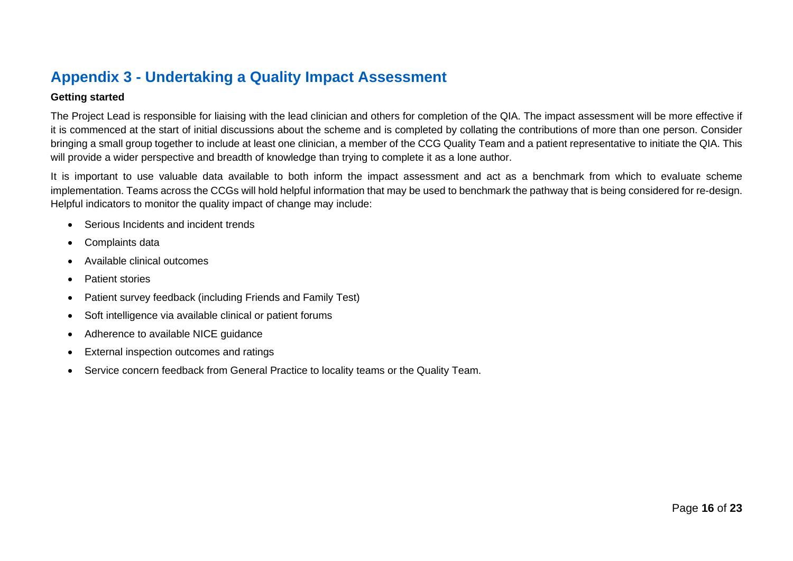# **Appendix 3 - Undertaking a Quality Impact Assessment**

#### **Getting started**

The Project Lead is responsible for liaising with the lead clinician and others for completion of the QIA. The impact assessment will be more effective if it is commenced at the start of initial discussions about the scheme and is completed by collating the contributions of more than one person. Consider bringing a small group together to include at least one clinician, a member of the CCG Quality Team and a patient representative to initiate the QIA. This will provide a wider perspective and breadth of knowledge than trying to complete it as a lone author.

It is important to use valuable data available to both inform the impact assessment and act as a benchmark from which to evaluate scheme implementation. Teams across the CCGs will hold helpful information that may be used to benchmark the pathway that is being considered for re-design. Helpful indicators to monitor the quality impact of change may include:

- Serious Incidents and incident trends
- Complaints data
- Available clinical outcomes
- Patient stories
- <span id="page-15-0"></span>• Patient survey feedback (including Friends and Family Test)
- Soft intelligence via available clinical or patient forums
- Adherence to available NICE guidance
- External inspection outcomes and ratings
- Service concern feedback from General Practice to locality teams or the Quality Team.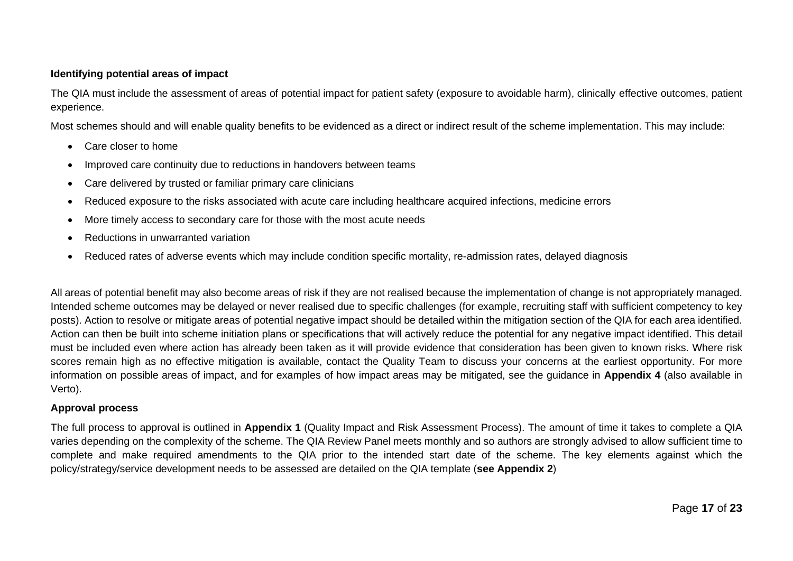#### **Identifying potential areas of impact**

The QIA must include the assessment of areas of potential impact for patient safety (exposure to avoidable harm), clinically effective outcomes, patient experience.

Most schemes should and will enable quality benefits to be evidenced as a direct or indirect result of the scheme implementation. This may include:

- Care closer to home
- Improved care continuity due to reductions in handovers between teams
- Care delivered by trusted or familiar primary care clinicians
- Reduced exposure to the risks associated with acute care including healthcare acquired infections, medicine errors
- More timely access to secondary care for those with the most acute needs
- Reductions in unwarranted variation
- Reduced rates of adverse events which may include condition specific mortality, re-admission rates, delayed diagnosis

All areas of potential benefit may also become areas of risk if they are not realised because the implementation of change is not appropriately managed. Intended scheme outcomes may be delayed or never realised due to specific challenges (for example, recruiting staff with sufficient competency to key posts). Action to resolve or mitigate areas of potential negative impact should be detailed within the mitigation section of the QIA for each area identified. Action can then be built into scheme initiation plans or specifications that will actively reduce the potential for any negative impact identified. This detail must be included even where action has already been taken as it will provide evidence that consideration has been given to known risks. Where risk scores remain high as no effective mitigation is available, contact the Quality Team to discuss your concerns at the earliest opportunity. For more information on possible areas of impact, and for examples of how impact areas may be mitigated, see the guidance in **Appendix 4** (also available in Verto).

#### **Approval process**

The full process to approval is outlined in **Appendix 1** (Quality Impact and Risk Assessment Process). The amount of time it takes to complete a QIA varies depending on the complexity of the scheme. The QIA Review Panel meets monthly and so authors are strongly advised to allow sufficient time to complete and make required amendments to the QIA prior to the intended start date of the scheme. The key elements against which the policy/strategy/service development needs to be assessed are detailed on the QIA template (**see Appendix 2**)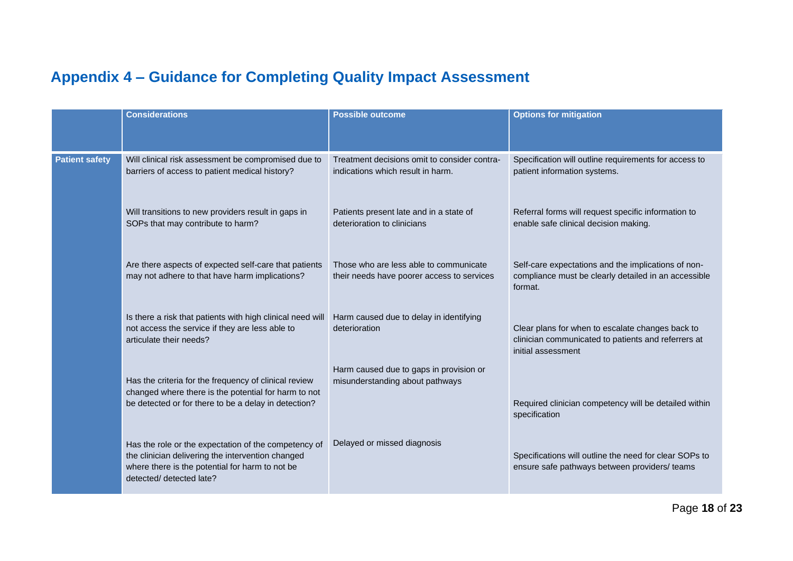# **Appendix 4 – Guidance for Completing Quality Impact Assessment**

<span id="page-17-0"></span>

|                       | <b>Considerations</b>                                                                                                                                                                    | <b>Possible outcome</b>                                                              | <b>Options for mitigation</b>                                                                                                 |
|-----------------------|------------------------------------------------------------------------------------------------------------------------------------------------------------------------------------------|--------------------------------------------------------------------------------------|-------------------------------------------------------------------------------------------------------------------------------|
| <b>Patient safety</b> | Will clinical risk assessment be compromised due to<br>barriers of access to patient medical history?                                                                                    | Treatment decisions omit to consider contra-<br>indications which result in harm.    | Specification will outline requirements for access to<br>patient information systems.                                         |
|                       | Will transitions to new providers result in gaps in<br>SOPs that may contribute to harm?                                                                                                 | Patients present late and in a state of<br>deterioration to clinicians               | Referral forms will request specific information to<br>enable safe clinical decision making.                                  |
|                       | Are there aspects of expected self-care that patients<br>may not adhere to that have harm implications?                                                                                  | Those who are less able to communicate<br>their needs have poorer access to services | Self-care expectations and the implications of non-<br>compliance must be clearly detailed in an accessible<br>format.        |
|                       | Is there a risk that patients with high clinical need will<br>not access the service if they are less able to<br>articulate their needs?                                                 | Harm caused due to delay in identifying<br>deterioration                             | Clear plans for when to escalate changes back to<br>clinician communicated to patients and referrers at<br>initial assessment |
|                       | Has the criteria for the frequency of clinical review<br>changed where there is the potential for harm to not<br>be detected or for there to be a delay in detection?                    | Harm caused due to gaps in provision or<br>misunderstanding about pathways           | Required clinician competency will be detailed within<br>specification                                                        |
|                       | Has the role or the expectation of the competency of<br>the clinician delivering the intervention changed<br>where there is the potential for harm to not be<br>detected/ detected late? | Delayed or missed diagnosis                                                          | Specifications will outline the need for clear SOPs to<br>ensure safe pathways between providers/ teams                       |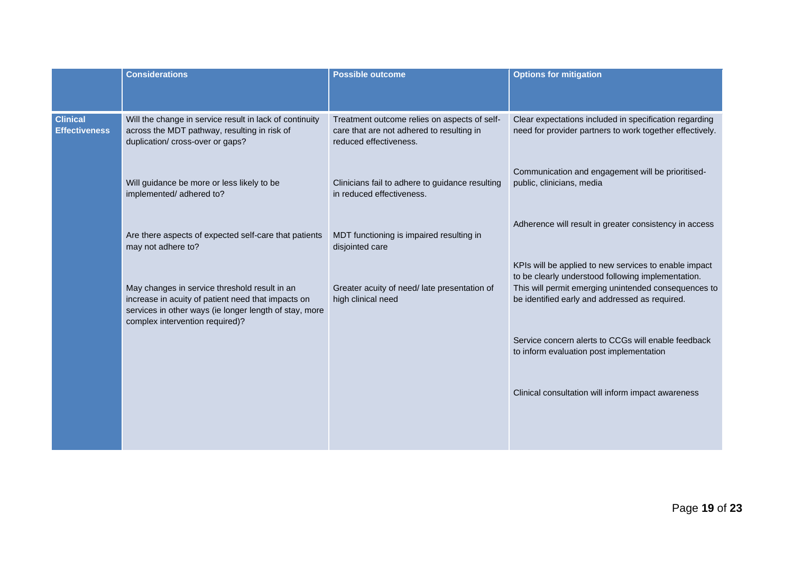|                                         | <b>Considerations</b>                                                                                                                                                                            | <b>Possible outcome</b>                                                                                             | <b>Options for mitigation</b>                                                                                                                                                                                         |
|-----------------------------------------|--------------------------------------------------------------------------------------------------------------------------------------------------------------------------------------------------|---------------------------------------------------------------------------------------------------------------------|-----------------------------------------------------------------------------------------------------------------------------------------------------------------------------------------------------------------------|
| <b>Clinical</b><br><b>Effectiveness</b> | Will the change in service result in lack of continuity<br>across the MDT pathway, resulting in risk of<br>duplication/ cross-over or gaps?                                                      | Treatment outcome relies on aspects of self-<br>care that are not adhered to resulting in<br>reduced effectiveness. | Clear expectations included in specification regarding<br>need for provider partners to work together effectively.                                                                                                    |
|                                         | Will guidance be more or less likely to be<br>implemented/adhered to?                                                                                                                            | Clinicians fail to adhere to guidance resulting<br>in reduced effectiveness.                                        | Communication and engagement will be prioritised-<br>public, clinicians, media                                                                                                                                        |
|                                         | Are there aspects of expected self-care that patients<br>may not adhere to?                                                                                                                      | MDT functioning is impaired resulting in<br>disjointed care                                                         | Adherence will result in greater consistency in access                                                                                                                                                                |
|                                         | May changes in service threshold result in an<br>increase in acuity of patient need that impacts on<br>services in other ways (ie longer length of stay, more<br>complex intervention required)? | Greater acuity of need/ late presentation of<br>high clinical need                                                  | KPIs will be applied to new services to enable impact<br>to be clearly understood following implementation.<br>This will permit emerging unintended consequences to<br>be identified early and addressed as required. |
|                                         |                                                                                                                                                                                                  |                                                                                                                     | Service concern alerts to CCGs will enable feedback<br>to inform evaluation post implementation                                                                                                                       |
|                                         |                                                                                                                                                                                                  |                                                                                                                     | Clinical consultation will inform impact awareness                                                                                                                                                                    |
|                                         |                                                                                                                                                                                                  |                                                                                                                     |                                                                                                                                                                                                                       |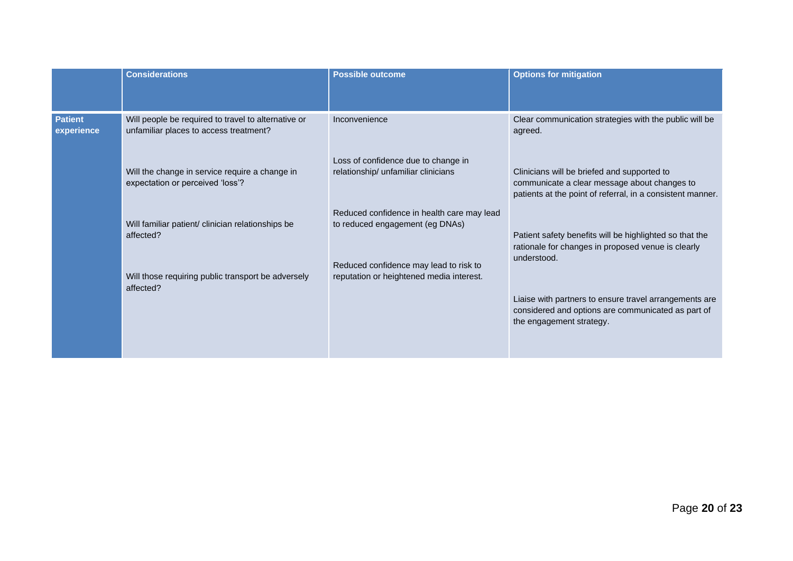|                              | <b>Considerations</b>                                                                         | <b>Possible outcome</b>                                                            | <b>Options for mitigation</b>                                                                                                                             |
|------------------------------|-----------------------------------------------------------------------------------------------|------------------------------------------------------------------------------------|-----------------------------------------------------------------------------------------------------------------------------------------------------------|
| <b>Patient</b><br>experience | Will people be required to travel to alternative or<br>unfamiliar places to access treatment? | Inconvenience                                                                      | Clear communication strategies with the public will be<br>agreed.                                                                                         |
|                              | Will the change in service require a change in<br>expectation or perceived 'loss'?            | Loss of confidence due to change in<br>relationship/ unfamiliar clinicians         | Clinicians will be briefed and supported to<br>communicate a clear message about changes to<br>patients at the point of referral, in a consistent manner. |
|                              | Will familiar patient/ clinician relationships be<br>affected?                                | Reduced confidence in health care may lead<br>to reduced engagement (eg DNAs)      | Patient safety benefits will be highlighted so that the<br>rationale for changes in proposed venue is clearly<br>understood.                              |
|                              | Will those requiring public transport be adversely<br>affected?                               | Reduced confidence may lead to risk to<br>reputation or heightened media interest. |                                                                                                                                                           |
|                              |                                                                                               |                                                                                    | Liaise with partners to ensure travel arrangements are<br>considered and options are communicated as part of<br>the engagement strategy.                  |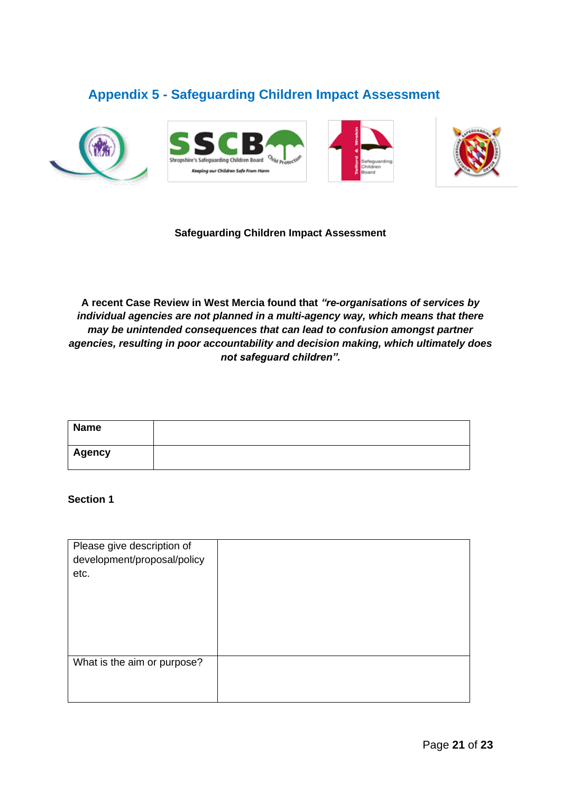#### <span id="page-20-0"></span>**Appendix 5 - Safeguarding Children Impact Assessment**









#### **Safeguarding Children Impact Assessment**

**A recent Case Review in West Mercia found that** *"re-organisations of services by individual agencies are not planned in a multi-agency way, which means that there may be unintended consequences that can lead to confusion amongst partner agencies, resulting in poor accountability and decision making, which ultimately does not safeguard children".*

| <b>Name</b> |  |
|-------------|--|
| Agency      |  |

#### **Section 1**

| Please give description of<br>development/proposal/policy<br>etc. |  |
|-------------------------------------------------------------------|--|
| What is the aim or purpose?                                       |  |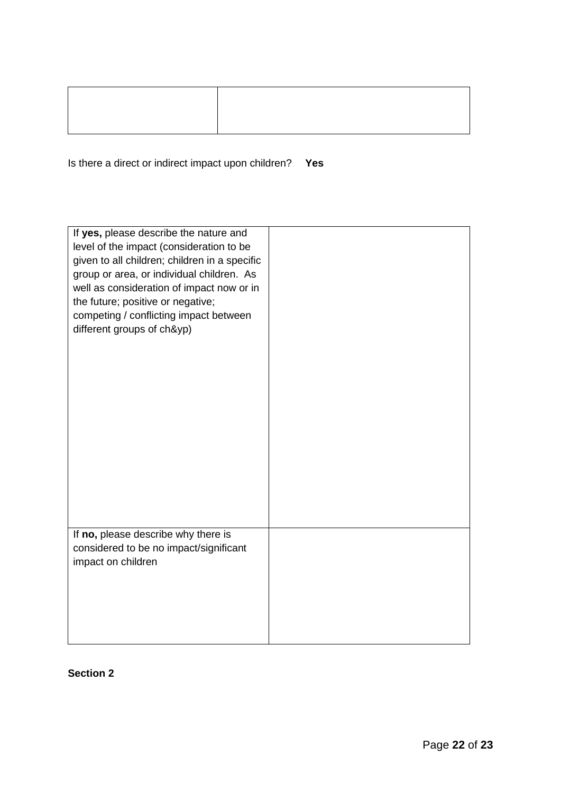Is there a direct or indirect impact upon children? **Yes**

| If yes, please describe the nature and<br>level of the impact (consideration to be<br>given to all children; children in a specific<br>group or area, or individual children. As<br>well as consideration of impact now or in<br>the future; positive or negative;<br>competing / conflicting impact between<br>different groups of ch&yp)<br>If no, please describe why there is |  |
|-----------------------------------------------------------------------------------------------------------------------------------------------------------------------------------------------------------------------------------------------------------------------------------------------------------------------------------------------------------------------------------|--|
| considered to be no impact/significant<br>impact on children                                                                                                                                                                                                                                                                                                                      |  |
|                                                                                                                                                                                                                                                                                                                                                                                   |  |

#### **Section 2**